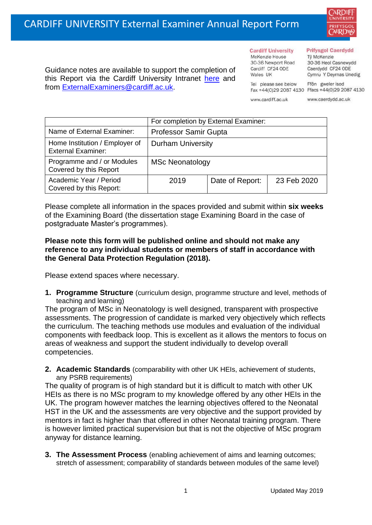

Guidance notes are available to support the completion of this Report via the Cardiff University Intranet [here](https://intranet.cardiff.ac.uk/staff/teaching-and-supporting-students/exams-and-assessment/exam-boards-and-external-examiners/for-current-external-examiners/external-examiners-reports) and from [ExternalExaminers@cardiff.ac.uk.](mailto:ExternalExaminers@cardiff.ac.uk)

## **Prifysgol Caerdydd**

Từ McKenzie 30-36 Heol Casnewydd Caerdydd CF24 ODE Cymru Y Deyrnas Unedig

Ffôn gweler isod Fax +44(0)29 2087 4130 Ffacs +44(0)29 2087 4130

www.cardiff.ac.uk

Tel please see below

**Cardiff University** 

30-36 Newport Road

McKenzie House

Cardiff CF24 ODE

Wales UK

www.caerdydd.ac.uk

|                                                             | For completion by External Examiner: |                 |             |  |  |
|-------------------------------------------------------------|--------------------------------------|-----------------|-------------|--|--|
| Name of External Examiner:                                  | <b>Professor Samir Gupta</b>         |                 |             |  |  |
| Home Institution / Employer of<br><b>External Examiner:</b> | <b>Durham University</b>             |                 |             |  |  |
| Programme and / or Modules<br>Covered by this Report        | <b>MSc Neonatology</b>               |                 |             |  |  |
| Academic Year / Period<br>Covered by this Report:           | 2019                                 | Date of Report: | 23 Feb 2020 |  |  |

Please complete all information in the spaces provided and submit within **six weeks** of the Examining Board (the dissertation stage Examining Board in the case of postgraduate Master's programmes).

## **Please note this form will be published online and should not make any reference to any individual students or members of staff in accordance with the General Data Protection Regulation (2018).**

Please extend spaces where necessary.

**1. Programme Structure** (curriculum design, programme structure and level, methods of teaching and learning)

The program of MSc in Neonatology is well designed, transparent with prospective assessments. The progression of candidate is marked very objectively which reflects the curriculum. The teaching methods use modules and evaluation of the individual components with feedback loop. This is excellent as it allows the mentors to focus on areas of weakness and support the student individually to develop overall competencies.

**2. Academic Standards** (comparability with other UK HEIs, achievement of students, any PSRB requirements)

The quality of program is of high standard but it is difficult to match with other UK HEIs as there is no MSc program to my knowledge offered by any other HEIs in the UK. The program however matches the learning objectives offered to the Neonatal HST in the UK and the assessments are very objective and the support provided by mentors in fact is higher than that offered in other Neonatal training program. There is however limited practical supervision but that is not the objective of MSc program anyway for distance learning.

**3. The Assessment Process** (enabling achievement of aims and learning outcomes; stretch of assessment; comparability of standards between modules of the same level)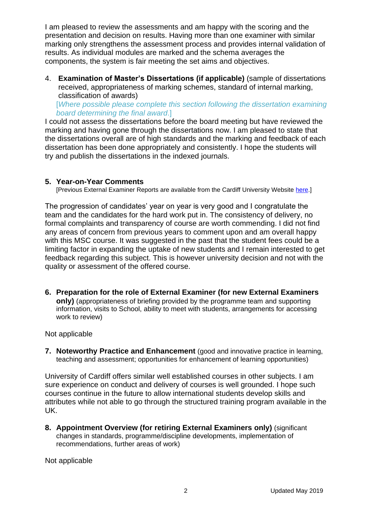I am pleased to review the assessments and am happy with the scoring and the presentation and decision on results. Having more than one examiner with similar marking only strengthens the assessment process and provides internal validation of results. As individual modules are marked and the schema averages the components, the system is fair meeting the set aims and objectives.

4. **Examination of Master's Dissertations (if applicable)** (sample of dissertations received, appropriateness of marking schemes, standard of internal marking, classification of awards)

[*Where possible please complete this section following the dissertation examining board determining the final award*.]

I could not assess the dissertations before the board meeting but have reviewed the marking and having gone through the dissertations now. I am pleased to state that the dissertations overall are of high standards and the marking and feedback of each dissertation has been done appropriately and consistently. I hope the students will try and publish the dissertations in the indexed journals.

## **5. Year-on-Year Comments**

[Previous External Examiner Reports are available from the Cardiff University Website [here.](https://www.cardiff.ac.uk/public-information/quality-and-standards/external-examiner-reports)]

The progression of candidates' year on year is very good and I congratulate the team and the candidates for the hard work put in. The consistency of delivery, no formal complaints and transparency of course are worth commending. I did not find any areas of concern from previous years to comment upon and am overall happy with this MSC course. It was suggested in the past that the student fees could be a limiting factor in expanding the uptake of new students and I remain interested to get feedback regarding this subject. This is however university decision and not with the quality or assessment of the offered course.

**6. Preparation for the role of External Examiner (for new External Examiners only)** (appropriateness of briefing provided by the programme team and supporting information, visits to School, ability to meet with students, arrangements for accessing work to review)

Not applicable

**7. Noteworthy Practice and Enhancement** (good and innovative practice in learning, teaching and assessment; opportunities for enhancement of learning opportunities)

University of Cardiff offers similar well established courses in other subjects. I am sure experience on conduct and delivery of courses is well grounded. I hope such courses continue in the future to allow international students develop skills and attributes while not able to go through the structured training program available in the UK.

**8. Appointment Overview (for retiring External Examiners only)** (significant changes in standards, programme/discipline developments, implementation of recommendations, further areas of work)

Not applicable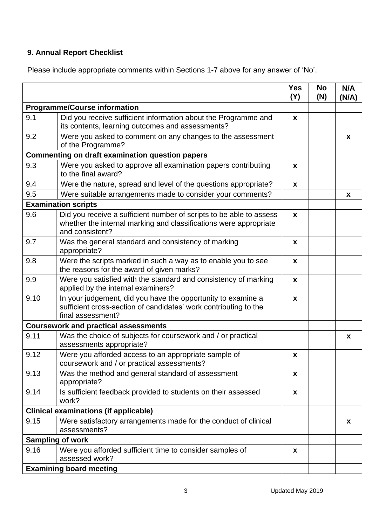## **9. Annual Report Checklist**

Please include appropriate comments within Sections 1-7 above for any answer of 'No'.

|                                                        |                                                                                                                                                             | <b>Yes</b><br>(Y) | <b>No</b><br>(N) | N/A<br>(N/A) |
|--------------------------------------------------------|-------------------------------------------------------------------------------------------------------------------------------------------------------------|-------------------|------------------|--------------|
| <b>Programme/Course information</b>                    |                                                                                                                                                             |                   |                  |              |
| 9.1                                                    | Did you receive sufficient information about the Programme and<br>its contents, learning outcomes and assessments?                                          | X                 |                  |              |
| 9.2                                                    | Were you asked to comment on any changes to the assessment<br>of the Programme?                                                                             |                   |                  | $\mathbf{x}$ |
| <b>Commenting on draft examination question papers</b> |                                                                                                                                                             |                   |                  |              |
| 9.3                                                    | Were you asked to approve all examination papers contributing<br>to the final award?                                                                        | X                 |                  |              |
| 9.4                                                    | Were the nature, spread and level of the questions appropriate?                                                                                             | $\boldsymbol{x}$  |                  |              |
| 9.5                                                    | Were suitable arrangements made to consider your comments?                                                                                                  |                   |                  | X            |
|                                                        | <b>Examination scripts</b>                                                                                                                                  |                   |                  |              |
| 9.6                                                    | Did you receive a sufficient number of scripts to be able to assess<br>whether the internal marking and classifications were appropriate<br>and consistent? | $\boldsymbol{x}$  |                  |              |
| 9.7                                                    | Was the general standard and consistency of marking<br>appropriate?                                                                                         | X                 |                  |              |
| 9.8                                                    | Were the scripts marked in such a way as to enable you to see<br>the reasons for the award of given marks?                                                  | X                 |                  |              |
| 9.9                                                    | Were you satisfied with the standard and consistency of marking<br>applied by the internal examiners?                                                       | $\boldsymbol{x}$  |                  |              |
| 9.10                                                   | In your judgement, did you have the opportunity to examine a<br>sufficient cross-section of candidates' work contributing to the<br>final assessment?       | X                 |                  |              |
| <b>Coursework and practical assessments</b>            |                                                                                                                                                             |                   |                  |              |
| 9.11                                                   | Was the choice of subjects for coursework and / or practical<br>assessments appropriate?                                                                    |                   |                  | $\mathbf x$  |
| 9.12                                                   | Were you afforded access to an appropriate sample of<br>coursework and / or practical assessments?                                                          | X                 |                  |              |
| 9.13                                                   | Was the method and general standard of assessment<br>appropriate?                                                                                           | X                 |                  |              |
| 9.14                                                   | Is sufficient feedback provided to students on their assessed<br>work?                                                                                      | X                 |                  |              |
| <b>Clinical examinations (if applicable)</b>           |                                                                                                                                                             |                   |                  |              |
| 9.15                                                   | Were satisfactory arrangements made for the conduct of clinical<br>assessments?                                                                             |                   |                  | $\mathbf x$  |
| <b>Sampling of work</b>                                |                                                                                                                                                             |                   |                  |              |
| 9.16                                                   | Were you afforded sufficient time to consider samples of<br>assessed work?                                                                                  | $\boldsymbol{x}$  |                  |              |
| <b>Examining board meeting</b>                         |                                                                                                                                                             |                   |                  |              |